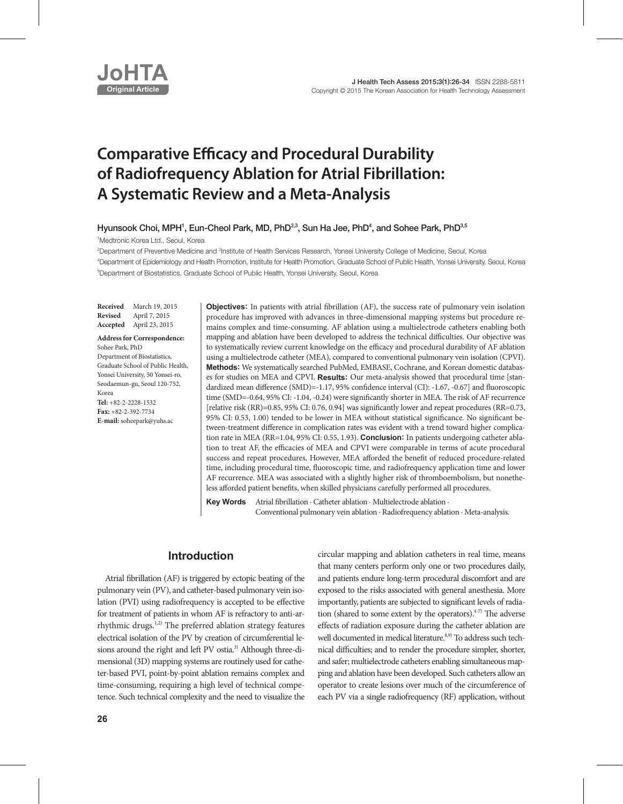

# **Comparative Efficacy and Procedural Durability of Radiofrequency Ablation for Atrial Fibrillation: A Systematic Review and a Meta-Analysis**

Hyunsook Choi, MPH<sup>1</sup>, Eun-Cheol Park, MD, PhD<sup>2,3</sup>, Sun Ha Jee, PhD<sup>4</sup>, and Sohee Park, PhD<sup>3,5</sup>

1 Medtronic Korea Ltd., Seoul, Korea

<sup>2</sup>Department of Preventive Medicine and <sup>3</sup>Institute of Health Services Research, Yonsei University College of Medicine, Seoul, Korea 4 Department of Epidemiology and Health Promotion, Institute for Health Promotion, Graduate School of Public Health, Yonsei University, Seoul, Korea 5 Department of Biostatistics, Graduate School of Public Health, Yonsei University, Seoul, Korea

**Received** March 19, 2015 **Revised** April 7, 2015 **Accepted** April 23, 2015

**Address for Correspondence:** Sohee Park, PhD Department of Biostatistics, Graduate School of Public Health, Yonsei University, 50 Yonsei-ro, Seodaemun-gu, Seoul 120-752, Korea **Tel:** +82-2-2228-1532 **Fax:** +82-2-392-7734 **E-mail:** soheepark@yuhs.ac

**Objectives:** In patients with atrial fibrillation (AF), the success rate of pulmonary vein isolation procedure has improved with advances in three-dimensional mapping systems but procedure remains complex and time-consuming. AF ablation using a multielectrode catheters enabling both mapping and ablation have been developed to address the technical difficulties. Our objective was to systematically review current knowledge on the efficacy and procedural durability of AF ablation using a multielectrode catheter (MEA), compared to conventional pulmonary vein isolation (CPVI). **Methods:** We systematically searched PubMed, EMBASE, Cochrane, and Korean domestic databases for studies on MEA and CPVI. **Results:** Our meta-analysis showed that procedural time [standardized mean difference (SMD)=-1.17, 95% confidence interval (CI): -1.67, -0.67] and fluoroscopic time (SMD=-0.64, 95% CI: -1.04, -0.24) were significantly shorter in MEA. The risk of AF recurrence [relative risk (RR)=0.85, 95% CI: 0.76, 0.94] was significantly lower and repeat procedures (RR=0.73, 95% CI: 0.53, 1.00) tended to be lower in MEA without statistical significance. No significant between-treatment difference in complication rates was evident with a trend toward higher complication rate in MEA (RR=1.04, 95% CI: 0.55, 1.93). **Conclusion:** In patients undergoing catheter ablation to treat AF, the efficacies of MEA and CPVI were comparable in terms of acute procedural success and repeat procedures. However, MEA afforded the benefit of reduced procedure-related time, including procedural time, fluoroscopic time, and radiofrequency application time and lower AF recurrence. MEA was associated with a slightly higher risk of thromboembolism, but nonetheless afforded patient benefits, when skilled physicians carefully performed all procedures.

**Key Words** Atrial fibrillation · Catheter ablation · Multielectrode ablation · Conventional pulmonary vein ablation · Radiofrequency ablation · Meta-analysis.

# **Introduction**

Atrial fibrillation (AF) is triggered by ectopic beating of the pulmonary vein (PV), and catheter-based pulmonary vein isolation (PVI) using radiofrequency is accepted to be effective for treatment of patients in whom AF is refractory to anti-arrhythmic drugs.<sup>1,2)</sup> The preferred ablation strategy features electrical isolation of the PV by creation of circumferential lesions around the right and left PV ostia.<sup>3)</sup> Although three-dimensional (3D) mapping systems are routinely used for catheter-based PVI, point-by-point ablation remains complex and time-consuming, requiring a high level of technical competence. Such technical complexity and the need to visualize the

circular mapping and ablation catheters in real time, means that many centers perform only one or two procedures daily, and patients endure long-term procedural discomfort and are exposed to the risks associated with general anesthesia. More importantly, patients are subjected to significant levels of radiation (shared to some extent by the operators). $4-7$ ) The adverse effects of radiation exposure during the catheter ablation are well documented in medical literature.<sup>8,9)</sup> To address such technical difficulties; and to render the procedure simpler, shorter, and safer; multielectrode catheters enabling simultaneous mapping and ablation have been developed. Such catheters allow an operator to create lesions over much of the circumference of each PV via a single radiofrequency (RF) application, without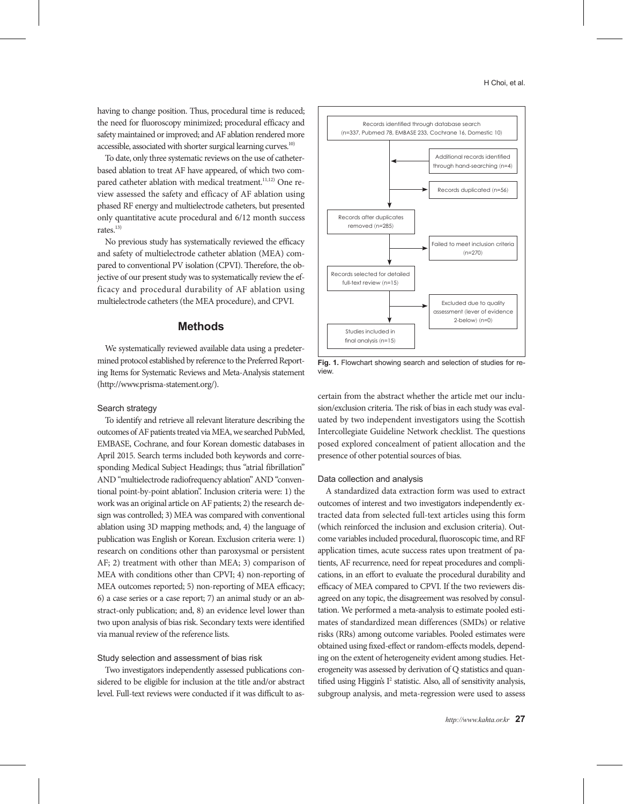having to change position. Thus, procedural time is reduced; the need for fluoroscopy minimized; procedural efficacy and safety maintained or improved; and AF ablation rendered more accessible, associated with shorter surgical learning curves.<sup>10)</sup>

To date, only three systematic reviews on the use of catheterbased ablation to treat AF have appeared, of which two compared catheter ablation with medical treatment.<sup>11,12)</sup> One review assessed the safety and efficacy of AF ablation using phased RF energy and multielectrode catheters, but presented only quantitative acute procedural and 6/12 month success rates.<sup>13)</sup>

No previous study has systematically reviewed the efficacy and safety of multielectrode catheter ablation (MEA) compared to conventional PV isolation (CPVI). Therefore, the objective of our present study was to systematically review the efficacy and procedural durability of AF ablation using multielectrode catheters (the MEA procedure), and CPVI.

# **Methods**

We systematically reviewed available data using a predetermined protocol established by reference to the Preferred Reporting Items for Systematic Reviews and Meta-Analysis statement (http://www.prisma-statement.org/).

#### Search strategy

To identify and retrieve all relevant literature describing the outcomes of AF patients treated via MEA, we searched PubMed, EMBASE, Cochrane, and four Korean domestic databases in April 2015. Search terms included both keywords and corresponding Medical Subject Headings; thus "atrial fibrillation" AND "multielectrode radiofrequency ablation" AND "conventional point-by-point ablation". Inclusion criteria were: 1) the work was an original article on AF patients; 2) the research design was controlled; 3) MEA was compared with conventional ablation using 3D mapping methods; and, 4) the language of publication was English or Korean. Exclusion criteria were: 1) research on conditions other than paroxysmal or persistent AF; 2) treatment with other than MEA; 3) comparison of MEA with conditions other than CPVI; 4) non-reporting of MEA outcomes reported; 5) non-reporting of MEA efficacy; 6) a case series or a case report; 7) an animal study or an abstract-only publication; and, 8) an evidence level lower than two upon analysis of bias risk. Secondary texts were identified via manual review of the reference lists.

### Study selection and assessment of bias risk

Two investigators independently assessed publications considered to be eligible for inclusion at the title and/or abstract level. Full-text reviews were conducted if it was difficult to as-



**Fig. 1.** Flowchart showing search and selection of studies for review.

certain from the abstract whether the article met our inclusion/exclusion criteria. The risk of bias in each study was evaluated by two independent investigators using the Scottish Intercollegiate Guideline Network checklist. The questions posed explored concealment of patient allocation and the presence of other potential sources of bias.

### Data collection and analysis

A standardized data extraction form was used to extract outcomes of interest and two investigators independently extracted data from selected full-text articles using this form (which reinforced the inclusion and exclusion criteria). Outcome variables included procedural, fluoroscopic time, and RF application times, acute success rates upon treatment of patients, AF recurrence, need for repeat procedures and complications, in an effort to evaluate the procedural durability and efficacy of MEA compared to CPVI. If the two reviewers disagreed on any topic, the disagreement was resolved by consultation. We performed a meta-analysis to estimate pooled estimates of standardized mean differences (SMDs) or relative risks (RRs) among outcome variables. Pooled estimates were obtained using fixed-effect or random-effects models, depending on the extent of heterogeneity evident among studies. Heterogeneity was assessed by derivation of Q statistics and quantified using Higgin's  $I^2$  statistic. Also, all of sensitivity analysis, subgroup analysis, and meta-regression were used to assess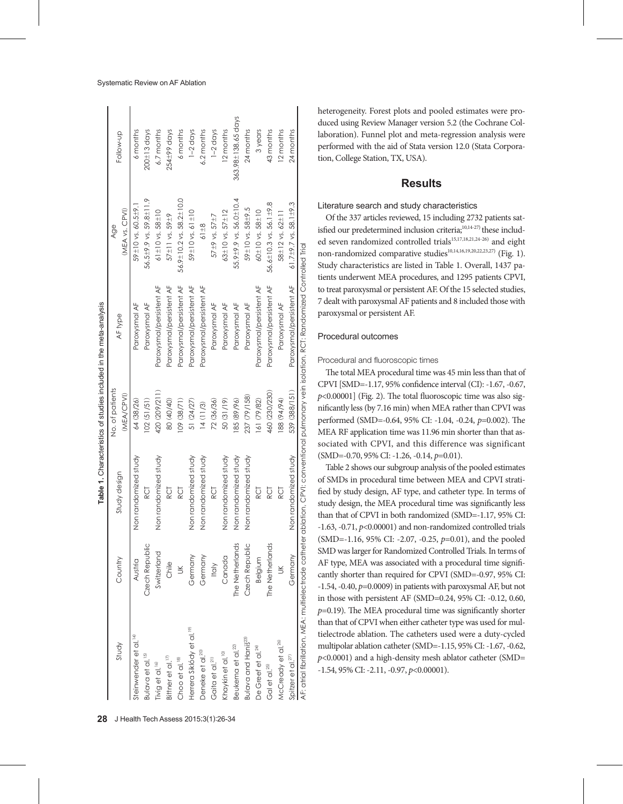|                                      |                 |                                 |                 | Table 1. Characteristics of studies included in the meta-analysis                                                                             |                                   |                          |
|--------------------------------------|-----------------|---------------------------------|-----------------|-----------------------------------------------------------------------------------------------------------------------------------------------|-----------------------------------|--------------------------|
|                                      |                 |                                 | No. of patients |                                                                                                                                               | Age                               |                          |
| Study                                | Country         | Study design                    | (MEA/CPVI)      | AF type                                                                                                                                       | (MEA vs. CPVI)                    | Follow-up                |
| Steinwender et al. <sup>14)</sup>    | Austria         | Non randomized study            | 64 (38/26)      | Paroxysmal AF                                                                                                                                 | 59±10 vs. 60.5±9.                 | 6 months                 |
| Bulava et al. <sup>15)</sup>         | Czech Republic  | RCT                             | 102(51/51)      | Paroxysmal AF                                                                                                                                 | 56.5±9.9 vs. 59.8±11.9            | $200 \pm 13$ days        |
| Tivig et al. <sup>16</sup>           | Switzerland     | randomized study<br>mor<br>No   | 420 (209/211)   | Paroxysmal/persistent AF                                                                                                                      | 61±10 vs. 58 $\pm$ 10             | 6.7 months               |
| Bittner et al. <sup>17</sup>         | Chile           | RCT                             | 80 (40/40)      | Paroxysmal/persistent AF                                                                                                                      | 57±11 vs. 59±9                    | $254\pm99$ days          |
| Choo et al. <sup>18)</sup>           | š               | RCT                             | (12/88) 601     | Paroxysmal/persistent AF                                                                                                                      | 56.9±10.2 vs. 58.2±10.0           | 6 months                 |
| Herrera Siklódy et al. <sup>19</sup> | Germany         | randomized study<br>$rac{5}{2}$ | 51 (24/27)      | Paroxysmal/persistent AF                                                                                                                      | 59±10 vs. 61 ±10                  | $1-2$ days               |
| Deneke et al. <sup>20</sup>          | Germany         | randomized study<br>mor         | 14(11/3)        | Paroxysmal/persistent AF                                                                                                                      | $61 + 8$                          | 6.2 months               |
| Gaita et al. <sup>21)</sup>          | Italy           | RCT                             | 72 (36/36)      | Paroxysmal AF                                                                                                                                 | 57±9 vs. 57±7                     | $1-2$ days               |
| Khaykin et al. <sup>10)</sup>        | Canada          | randomized study<br>mor         | 50 (31/19)      | Paroxysmal AF                                                                                                                                 | 63±10 vs. 57±12                   | 12 months                |
| Beukema et al. <sup>22</sup>         | The Netherlands | randomized study<br>mor         | 85 (89/96)      | Paroxysmal AF                                                                                                                                 | 55.9±9.9 vs. 56.0±10.4            | $363.98 \pm 138.65$ days |
| Bulava and Hanis <sup>23)</sup>      | Czech Republic  | randomized study<br>s<br>No     | 237 (79/158)    | Paroxysmal AF                                                                                                                                 | 59±10 vs. 58±9.5                  | 24 months                |
| De Greef et al. <sup>24)</sup>       | Belgium         | RCT                             | 61 (79/82)      | Paroxysmal/persistent AF                                                                                                                      | 60±10 vs. 58±10                   | 3years                   |
| Gal et al. <sup>25)</sup>            | The Netherlands | RCT                             | 460 (230/230)   | Paroxysmal/persistent AF                                                                                                                      | 56.6±10.3 vs. 56.1±9.8            | 43 months                |
| McCready et al. <sup>26)</sup>       | $\leq$          | RCT                             | 88 (94/94)      | Paroxysmal AF                                                                                                                                 | 58±12 vs. 62±11                   | 12 months                |
| Spitzer et al. <sup>27)</sup>        | Germany         | Non randomized study            | 539 (388/151)   | Paroxysmal/persistent AF                                                                                                                      | 61.7 $\pm$ 9.7 vs. 58.1 $\pm$ 9.3 | 24 months                |
|                                      |                 |                                 |                 | AF: atrial fibrillation, MEA: multielectrode catheter ablation, CPVI: conventional pulmonary vein isolation, RCT: Randomized Controlled Trial |                                   |                          |

heterogeneity. Forest plots and pooled estimates were produced using Review Manager version 5.2 (the Cochrane Collaboration). Funnel plot and meta-regression analysis were performed with the aid of Stata version 12.0 (Stata Corporation, College Station, TX, USA).

# **Results**

# Literature search and study characteristics

Of the 337 articles reviewed, 15 including 2732 patients satisfied our predetermined inclusion criteria;<sup>10,14-27)</sup> these included seven randomized controlled trials<sup>15,17,18,21,24-26)</sup> and eight non-randomized comparative studies<sup>10,14,16,19,20,22,23,27)</sup> (Fig. 1). Study characteristics are listed in Table 1. Overall, 1437 patients underwent MEA procedures, and 1295 patients CPVI, to treat paroxysmal or persistent AF. Of the 15 selected studies, 7 dealt with paroxysmal AF patients and 8 included those with paroxysmal or persistent AF.

## Procedural outcomes

Procedural and fluoroscopic times

The total MEA procedural time was 45 min less than that of CPVI [SMD=-1.17, 95% confidence interval (CI): -1.67, -0.67, *p*<0.00001] (Fig. 2). The total fluoroscopic time was also significantly less (by 7.16 min) when MEA rather than CPVI was performed (SMD=-0.64, 95% CI: -1.04, -0.24, *p*=0.002). The MEA RF application time was 11.96 min shorter than that associated with CPVI, and this difference was significant (SMD=-0.70, 95% CI: -1.26, -0.14, *p*=0.01).

Table 2 shows our subgroup analysis of the pooled estimates of SMDs in procedural time between MEA and CPVI stratified by study design, AF type, and catheter type. In terms of study design, the MEA procedural time was significantly less than that of CPVI in both randomized (SMD=-1.17, 95% CI: -1.63, -0.71, *p*<0.00001) and non-randomized controlled trials (SMD=-1.16, 95% CI: -2.07, -0.25, *p*=0.01), and the pooled SMD was larger for Randomized Controlled Trials. In terms of AF type, MEA was associated with a procedural time significantly shorter than required for CPVI (SMD=-0.97, 95% CI: -1.54, -0.40, *p*=0.0009) in patients with paroxysmal AF, but not in those with persistent AF (SMD=0.24, 95% CI: -0.12, 0.60, *p*=0.19). The MEA procedural time was significantly shorter than that of CPVI when either catheter type was used for multielectrode ablation. The catheters used were a duty-cycled multipolar ablation catheter (SMD=-1.15, 95% CI: -1.67, -0.62, *p*<0.0001) and a high-density mesh ablator catheter (SMD= -1.54, 95% CI: -2.11, -0.97, *p*<0.00001).

منصاححة

 $\frac{1}{2}$ م<br>مطا  $\cdot$ 

اممامسالممنا

منامات

مسمدات

j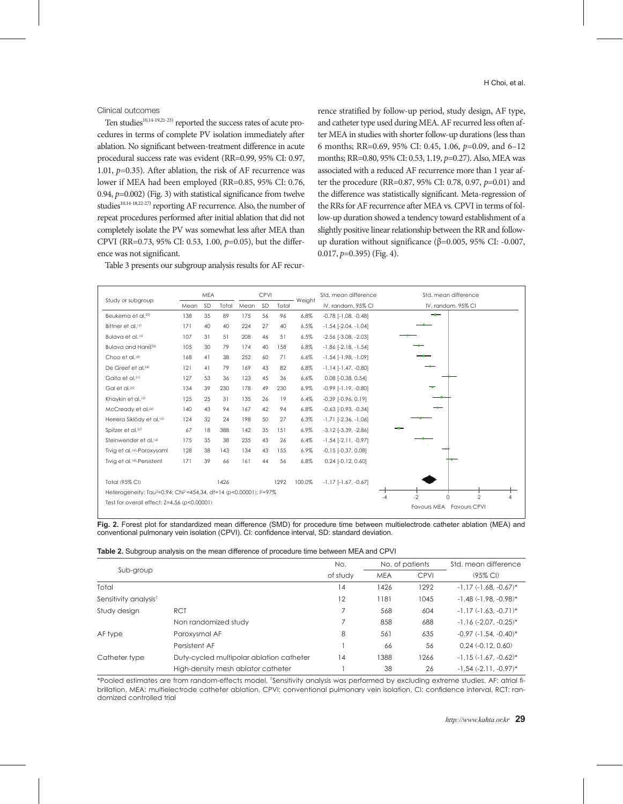Clinical outcomes

Ten studies<sup>10,14-19,21-23)</sup> reported the success rates of acute procedures in terms of complete PV isolation immediately after ablation. No significant between-treatment difference in acute procedural success rate was evident (RR=0.99, 95% CI: 0.97, 1.01, *p*=0.35). After ablation, the risk of AF recurrence was lower if MEA had been employed (RR=0.85, 95% CI: 0.76, 0.94, *p*=0.002) (Fig. 3) with statistical significance from twelve studies<sup>10,14-18,22-27)</sup> reporting AF recurrence. Also, the number of repeat procedures performed after initial ablation that did not completely isolate the PV was somewhat less after MEA than CPVI (RR=0.73, 95% CI: 0.53, 1.00, *p*=0.05), but the difference was not significant.

Table 3 presents our subgroup analysis results for AF recur-

rence stratified by follow-up period, study design, AF type, and catheter type used during MEA. AF recurred less often after MEA in studies with shorter follow-up durations (less than 6 months; RR=0.69, 95% CI: 0.45, 1.06, *p*=0.09, and 6–12 months; RR=0.80, 95% CI: 0.53, 1.19, *p*=0.27). Also, MEA was associated with a reduced AF recurrence more than 1 year after the procedure (RR=0.87, 95% CI: 0.78, 0.97, *p*=0.01) and the difference was statistically significant. Meta-regression of the RRs for AF recurrence after MEA vs. CPVI in terms of follow-up duration showed a tendency toward establishment of a slightly positive linear relationship between the RR and followup duration without significance ( $β=0.005$ , 95% CI: -0.007, 0.017, *p*=0.395) (Fig. 4).

| Study or subgroup                                                                                       | <b>MEA</b> |    | <b>CPVI</b> |      | Std. mean difference<br>Weight | Std. mean difference |        |                               |                                                                        |
|---------------------------------------------------------------------------------------------------------|------------|----|-------------|------|--------------------------------|----------------------|--------|-------------------------------|------------------------------------------------------------------------|
|                                                                                                         | Mean       | SD | Total       | Mean | <b>SD</b>                      | Total                |        | IV, random, 95% CI            | IV, random, 95% CI                                                     |
| Beukema et al. <sup>22)</sup>                                                                           | 138        | 35 | 89          | 175  | 56                             | 96                   | 6.8%   | $-0.78$ [ $-1.08$ , $-0.48$ ] |                                                                        |
| Bittner et al. <sup>17)</sup>                                                                           | 171        | 40 | 40          | 224  | 27                             | 40                   | 6.5%   | $-1.54$ $[-2.04, -1.04]$      |                                                                        |
| Bulava et al. <sup>15)</sup>                                                                            | 107        | 31 | 51          | 208  | 46                             | 51                   | 6.5%   | $-2.56$ [ $-3.08$ , $-2.03$ ] |                                                                        |
| Bulava and Haniš <sup>23)</sup>                                                                         | 105        | 30 | 79          | 174  | 40                             | 158                  | 6.8%   | $-1.86$ [ $-2.18$ , $-1.54$ ] |                                                                        |
| Choo et al. <sup>18)</sup>                                                                              | 168        | 41 | 38          | 252  | 60                             | 71                   | 6.6%   | $-1.54$ [ $-1.98$ , $-1.09$ ] |                                                                        |
| De Greef et al. <sup>24)</sup>                                                                          | 121        | 41 | 79          | 169  | 43                             | 82                   | 6.8%   | $-1.14$ $[-1.47, -0.80]$      |                                                                        |
| Gaita et al. <sup>21)</sup>                                                                             | 127        | 53 | 36          | 123  | 45                             | 36                   | 6.6%   | $0.08$ [-0.38, 0.54]          |                                                                        |
| Gal et al. <sup>25)</sup>                                                                               | 134        | 39 | 230         | 178  | 49                             | 230                  | 6.9%   | $-0.99$ [ $-1.19$ , $-0.80$ ] |                                                                        |
| Khaykin et al. <sup>10)</sup>                                                                           | 125        | 25 | 31          | 135  | 26                             | 19                   | 6.4%   | $-0.39$ $[-0.96, 0.19]$       |                                                                        |
| McCready et al. <sup>26)</sup>                                                                          | 140        | 43 | 94          | 167  | 42                             | 94                   | 6.8%   | $-0.63$ $[-0.93, -0.34]$      |                                                                        |
| Herrera Siklódy et al. <sup>19)</sup>                                                                   | 124        | 32 | 24          | 198  | 50                             | 27                   | 6.3%   | $-1.71$ $[-2.36, -1.06]$      |                                                                        |
| Spitzer et al. <sup>27)</sup>                                                                           | 67         | 18 | 388         | 142  | 35                             | 151                  | 6.9%   | $-3.12$ $[-3.39, -2.86]$      |                                                                        |
| Steinwender et al. <sup>14)</sup>                                                                       | 175        | 35 | 38          | 235  | 43                             | 26                   | 6.4%   | $-1.54$ [ $-2.11$ , $-0.97$ ] |                                                                        |
| Tivig et al. <sup>16)</sup> -Paroxysaml                                                                 | 128        | 38 | 143         | 134  | 43                             | 155                  | 6.9%   | $-0.15$ $[-0.37, 0.08]$       |                                                                        |
| Tivig et al. <sup>16)</sup> -Persistent                                                                 | 171        | 39 | 66          | 161  | 44                             | 56                   | 6.8%   | $0.24$ [-0.12, 0.60]          |                                                                        |
| Total (95% CI)                                                                                          |            |    | 1426        |      |                                | 1292                 | 100.0% | $-1.17$ $[-1.67, -0.67]$      |                                                                        |
| Heterogeneity: Tau <sup>2</sup> =0.94; Chi <sup>2</sup> =454.34, df=14 (p<0.00001); l <sup>2</sup> =97% |            |    |             |      |                                |                      |        |                               |                                                                        |
| Test for overall effect: $Z=4.56$ ( $p<0.00001$ )                                                       |            |    |             |      |                                |                      |        |                               | $-2$<br>$\mathfrak{D}$<br>$\Omega$<br>$-4$<br>Favours MEA Favours CPVI |

**Fig. 2.** Forest plot for standardized mean difference (SMD) for procedure time between multielectrode catheter ablation (MEA) and conventional pulmonary vein isolation (CPVI). CI: confidence interval, SD: standard deviation.

|                                   |                                          | No.      |            | No. of patients | Std. mean difference       |
|-----------------------------------|------------------------------------------|----------|------------|-----------------|----------------------------|
| Sub-group                         |                                          | of study | <b>MEA</b> | <b>CPVI</b>     | $(95\% \text{ Cl})$        |
| Total                             |                                          | 14       | 1426       | 1292            | $-1.17$ $(-1.68, -0.67)^*$ |
| Sensitivity analysis <sup>t</sup> |                                          | 12       | 1181       | 1045            | $-1.48$ $(-1.98, -0.98)^*$ |
| Study design                      | <b>RCT</b>                               |          | 568        | 604             | $-1.17(-1.63, -0.71)^*$    |
|                                   | Non randomized study                     |          | 858        | 688             | $-1.16$ $(-2.07, -0.25)^*$ |
| AF type                           | Paroxysmal AF                            | 8        | 561        | 635             | $-0.97$ $(-1.54, -0.40)^*$ |
|                                   | Persistent AF                            |          | 66         | 56              | $0.24$ $(-0.12, 0.60)$     |
| Catheter type                     | Duty-cycled multipolar ablation catheter | 14       | 1388       | 1266            | $-1.15(-1.67, -0.62)^*$    |
|                                   | High-density mesh ablator catheter       |          | 38         | 26              | $-1.54$ $(-2.11, -0.97)^*$ |

\*Pooled estimates are from random-effects model, <sup>t</sup>Sensitivity analysis was performed by excluding extreme studies. AF: atrial fibrillation, MEA: multielectrode catheter ablation, CPVI: conventional pulmonary vein isolation, CI: confidence interval, RCT: randomized controlled trial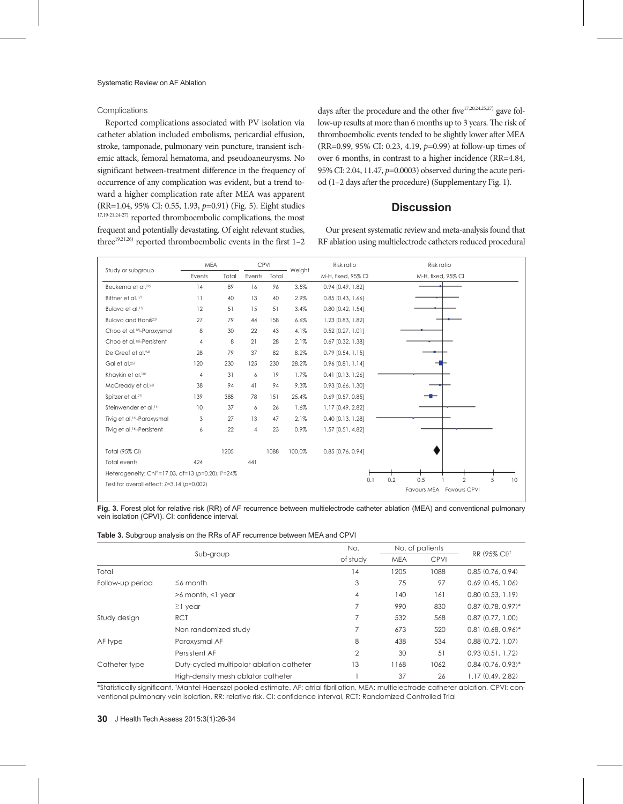## Complications

Reported complications associated with PV isolation via catheter ablation included embolisms, pericardial effusion, stroke, tamponade, pulmonary vein puncture, transient ischemic attack, femoral hematoma, and pseudoaneurysms. No significant between-treatment difference in the frequency of occurrence of any complication was evident, but a trend toward a higher complication rate after MEA was apparent (RR=1.04, 95% CI: 0.55, 1.93, *p*=0.91) (Fig. 5). Eight studies 17,19-21,24-27) reported thromboembolic complications, the most frequent and potentially devastating. Of eight relevant studies, three<sup>19,21,26)</sup> reported thromboembolic events in the first  $1-2$ 

days after the procedure and the other five $17,20,24,25,27)$  gave follow-up results at more than 6 months up to 3 years. The risk of thromboembolic events tended to be slightly lower after MEA (RR=0.99, 95% CI: 0.23, 4.19, *p*=0.99) at follow-up times of over 6 months, in contrast to a higher incidence (RR=4.84, 95% CI: 2.04, 11.47, *p*=0.0003) observed during the acute period (1–2 days after the procedure) (Supplementary Fig. 1).

# **Discussion**

Our present systematic review and meta-analysis found that RF ablation using multielectrode catheters reduced procedural

|                                                                             | <b>MEA</b>      |       | CPVI           |       |        | Risk ratio          | Risk ratio                                                          |
|-----------------------------------------------------------------------------|-----------------|-------|----------------|-------|--------|---------------------|---------------------------------------------------------------------|
| Study or subgroup                                                           | Events          | Total | Events         | Total | Weight | M-H, fixed, 95% CI  | M-H, fixed, 95% CI                                                  |
| Beukema et al. <sup>22)</sup>                                               | 4               | 89    | 16             | 96    | 3.5%   | 0.94 [0.49, 1.82]   |                                                                     |
| Bittner et al. <sup>17)</sup>                                               | $\overline{11}$ | 40    | 13             | 40    | 2.9%   | $0.85$ [0.43, 1.66] |                                                                     |
| Bulava et al. <sup>15)</sup>                                                | 12              | 51    | 15             | 51    | 3.4%   | 0.80 [0.42, 1.54]   |                                                                     |
| Bulava and Haniš <sup>23)</sup>                                             | 27              | 79    | 44             | 158   | 6.6%   | 1.23 [0.83, 1.82]   |                                                                     |
| Choo et al. <sup>18)</sup> -Paroxysmal                                      | 8               | 30    | 22             | 43    | 4.1%   | $0.52$ [0.27, 1.01] |                                                                     |
| Choo et al. <sup>18)</sup> -Persistent                                      | 4               | 8     | 21             | 28    | 2.1%   | 0.67 [0.32, 1.38]   |                                                                     |
| De Greef et al. <sup>24)</sup>                                              | 28              | 79    | 37             | 82    | 8.2%   | $0.79$ [0.54, 1.15] |                                                                     |
| Gal et al. <sup>25)</sup>                                                   | 120             | 230   | 125            | 230   | 28.2%  | $0.96$ [0.81, 1.14] |                                                                     |
| Khaykin et al. <sup>10)</sup>                                               | 4               | 31    | 6              | 19    | 1.7%   | $0.41$ [0.13, 1.26] |                                                                     |
| McCready et al. <sup>26)</sup>                                              | 38              | 94    | 41             | 94    | 9.3%   | 0.93 [0.66, 1.30]   |                                                                     |
| Spitzer et al. <sup>27)</sup>                                               | 139             | 388   | 78             | 151   | 25.4%  | $0.69$ [0.57, 0.85] |                                                                     |
| Steinwender et al. <sup>14)</sup>                                           | 10              | 37    | 6              | 26    | 1.6%   | 1.17 [0.49, 2.82]   |                                                                     |
| Tivig et al. <sup>16</sup> -Paroxysmal                                      | 3               | 27    | 13             | 47    | 2.1%   | $0.40$ [0.13, 1.28] |                                                                     |
| Tivig et al. <sup>16)</sup> -Persistent                                     | 6               | 22    | $\overline{4}$ | 23    | 0.9%   | 1.57 [0.51, 4.82]   |                                                                     |
|                                                                             |                 |       |                |       |        |                     |                                                                     |
| Total (95% CI)                                                              |                 | 1205  |                | 1088  | 100.0% | 0.85 [0.76, 0.94]   |                                                                     |
| Total events                                                                | 424             |       | 441            |       |        |                     |                                                                     |
| Heterogeneity: Chi <sup>2</sup> =17.03, df=13 (p=0.20); l <sup>2</sup> =24% |                 |       |                |       |        |                     |                                                                     |
| Test for overall effect: $Z=3.14$ ( $p=0.002$ )                             |                 |       |                |       |        | 0.1                 | 0.2<br>0.5<br>$\overline{2}$<br>5<br>10<br>Favours MEA Favours CPVI |
|                                                                             |                 |       |                |       |        |                     |                                                                     |

| Fig. 3. Forest plot for relative risk (RR) of AF recurrence between multielectrode catheter ablation (MEA) and conventional pulmonary |  |  |  |
|---------------------------------------------------------------------------------------------------------------------------------------|--|--|--|
| vein isolation (CPVI). CI: confidence interval.                                                                                       |  |  |  |

|  |  |  |  |  | <b>Table 3.</b> Subgroup analysis on the RRs of AF recurrence between MEA and CPVI |  |  |  |
|--|--|--|--|--|------------------------------------------------------------------------------------|--|--|--|
|--|--|--|--|--|------------------------------------------------------------------------------------|--|--|--|

|                  |                                          | No.            |            | No. of patients |                         |
|------------------|------------------------------------------|----------------|------------|-----------------|-------------------------|
|                  | Sub-group                                | of study       | <b>MEA</b> | <b>CPVI</b>     | $RR(95\% Cl)^{\dagger}$ |
| Total            |                                          | 14             | 1205       | 1088            | 0.85(0.76, 0.94)        |
| Follow-up period | $\leq$ 6 month                           | 3              | 75         | 97              | 0.69(0.45, 1.06)        |
|                  | $>6$ month, $<$ l year                   | 4              | 140        | 161             | 0.80(0.53, 1.19)        |
|                  | $\geq$ 1 year                            |                | 990        | 830             | $0.87$ $(0.78, 0.97)^*$ |
| Study design     | <b>RCT</b>                               |                | 532        | 568             | 0.87(0.77, 1.00)        |
|                  | Non randomized study                     |                | 673        | 520             | $0.81(0.68, 0.96)^*$    |
| AF type          | Paroxysmal AF                            | 8              | 438        | 534             | 0.88(0.72, 1.07)        |
|                  | Persistent AF                            | $\overline{2}$ | 30         | 51              | 0.93(0.51, 1.72)        |
| Catheter type    | Duty-cycled multipolar ablation catheter | 13             | 1168       | 1062            | $0.84(0.76, 0.93)^*$    |
|                  | High-density mesh ablator catheter       |                | 37         | 26              | 1.17(0.49, 2.82)        |

\*Statistically significant, † Mantel-Haenszel pooled estimate. AF: atrial fibrillation, MEA: multielectrode catheter ablation, CPVI: conventional pulmonary vein isolation, RR: relative risk, CI: confidence interval, RCT: Randomized Controlled Trial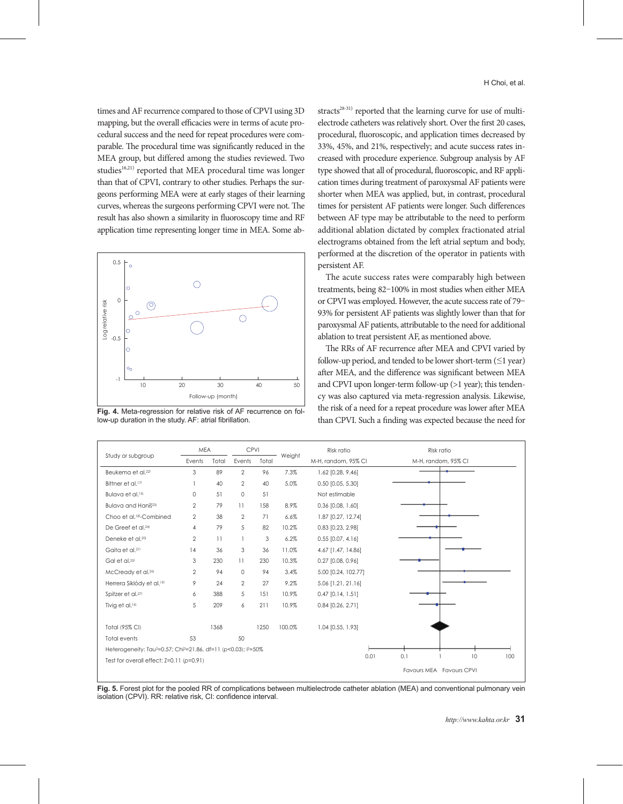times and AF recurrence compared to those of CPVI using 3D mapping, but the overall efficacies were in terms of acute procedural success and the need for repeat procedures were comparable. The procedural time was significantly reduced in the MEA group, but differed among the studies reviewed. Two studies<sup>16,21)</sup> reported that MEA procedural time was longer than that of CPVI, contrary to other studies. Perhaps the surgeons performing MEA were at early stages of their learning curves, whereas the surgeons performing CPVI were not. The result has also shown a similarity in fluoroscopy time and RF application time representing longer time in MEA. Some ab-



**Fig. 4.** Meta-regression for relative risk of AF recurrence on follow-up duration in the study. AF: atrial fibrillation.

stracts $28-31$ ) reported that the learning curve for use of multielectrode catheters was relatively short. Over the first 20 cases, procedural, fluoroscopic, and application times decreased by 33%, 45%, and 21%, respectively; and acute success rates increased with procedure experience. Subgroup analysis by AF type showed that all of procedural, fluoroscopic, and RF application times during treatment of paroxysmal AF patients were shorter when MEA was applied, but, in contrast, procedural times for persistent AF patients were longer. Such differences between AF type may be attributable to the need to perform additional ablation dictated by complex fractionated atrial electrograms obtained from the left atrial septum and body, performed at the discretion of the operator in patients with persistent AF.

The acute success rates were comparably high between treatments, being 82–100% in most studies when either MEA or CPVI was employed. However, the acute success rate of 79– 93% for persistent AF patients was slightly lower than that for paroxysmal AF patients, attributable to the need for additional ablation to treat persistent AF, as mentioned above.

The RRs of AF recurrence after MEA and CPVI varied by follow-up period, and tended to be lower short-term  $(\leq 1$  year) after MEA, and the difference was significant between MEA and CPVI upon longer-term follow-up (>1 year); this tendency was also captured via meta-regression analysis. Likewise, the risk of a need for a repeat procedure was lower after MEA than CPVI. Such a finding was expected because the need for



**Fig. 5.** Forest plot for the pooled RR of complications between multielectrode catheter ablation (MEA) and conventional pulmonary vein isolation (CPVI). RR: relative risk, CI: confidence interval.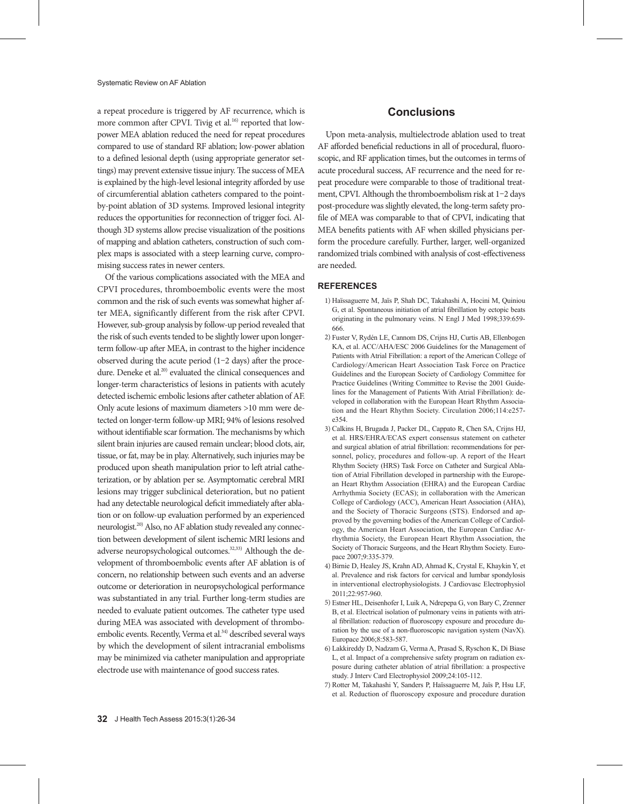a repeat procedure is triggered by AF recurrence, which is more common after CPVI. Tivig et al.<sup>16)</sup> reported that lowpower MEA ablation reduced the need for repeat procedures compared to use of standard RF ablation; low-power ablation to a defined lesional depth (using appropriate generator settings) may prevent extensive tissue injury. The success of MEA is explained by the high-level lesional integrity afforded by use of circumferential ablation catheters compared to the pointby-point ablation of 3D systems. Improved lesional integrity reduces the opportunities for reconnection of trigger foci. Although 3D systems allow precise visualization of the positions of mapping and ablation catheters, construction of such complex maps is associated with a steep learning curve, compromising success rates in newer centers.

Of the various complications associated with the MEA and CPVI procedures, thromboembolic events were the most common and the risk of such events was somewhat higher after MEA, significantly different from the risk after CPVI. However, sub-group analysis by follow-up period revealed that the risk of such events tended to be slightly lower upon longerterm follow-up after MEA, in contrast to the higher incidence observed during the acute period (1–2 days) after the procedure. Deneke et al.<sup>20)</sup> evaluated the clinical consequences and longer-term characteristics of lesions in patients with acutely detected ischemic embolic lesions after catheter ablation of AF. Only acute lesions of maximum diameters >10 mm were detected on longer-term follow-up MRI; 94% of lesions resolved without identifiable scar formation. The mechanisms by which silent brain injuries are caused remain unclear; blood clots, air, tissue, or fat, may be in play. Alternatively, such injuries may be produced upon sheath manipulation prior to left atrial catheterization, or by ablation per se. Asymptomatic cerebral MRI lesions may trigger subclinical deterioration, but no patient had any detectable neurological deficit immediately after ablation or on follow-up evaluation performed by an experienced neurologist.<sup>20)</sup> Also, no AF ablation study revealed any connection between development of silent ischemic MRI lesions and adverse neuropsychological outcomes.<sup>32,33)</sup> Although the development of thromboembolic events after AF ablation is of concern, no relationship between such events and an adverse outcome or deterioration in neuropsychological performance was substantiated in any trial. Further long-term studies are needed to evaluate patient outcomes. The catheter type used during MEA was associated with development of thromboembolic events. Recently, Verma et al.<sup>34)</sup> described several ways by which the development of silent intracranial embolisms may be minimized via catheter manipulation and appropriate electrode use with maintenance of good success rates.

# **Conclusions**

Upon meta-analysis, multielectrode ablation used to treat AF afforded beneficial reductions in all of procedural, fluoroscopic, and RF application times, but the outcomes in terms of acute procedural success, AF recurrence and the need for repeat procedure were comparable to those of traditional treatment, CPVI. Although the thromboembolism risk at 1–2 days post-procedure was slightly elevated, the long-term safety profile of MEA was comparable to that of CPVI, indicating that MEA benefits patients with AF when skilled physicians perform the procedure carefully. Further, larger, well-organized randomized trials combined with analysis of cost-effectiveness are needed.

## **REFERENCES**

- 1) Haïssaguerre M, Jaïs P, Shah DC, Takahashi A, Hocini M, Quiniou G, et al. Spontaneous initiation of atrial fibrillation by ectopic beats originating in the pulmonary veins. N Engl J Med 1998;339:659- 666.
- 2) Fuster V, Rydén LE, Cannom DS, Crijns HJ, Curtis AB, Ellenbogen KA, et al. ACC/AHA/ESC 2006 Guidelines for the Management of Patients with Atrial Fibrillation: a report of the American College of Cardiology/American Heart Association Task Force on Practice Guidelines and the European Society of Cardiology Committee for Practice Guidelines (Writing Committee to Revise the 2001 Guidelines for the Management of Patients With Atrial Fibrillation): developed in collaboration with the European Heart Rhythm Association and the Heart Rhythm Society. Circulation 2006;114:e257 e354.
- 3) Calkins H, Brugada J, Packer DL, Cappato R, Chen SA, Crijns HJ, et al. HRS/EHRA/ECAS expert consensus statement on catheter and surgical ablation of atrial fibrillation: recommendations for personnel, policy, procedures and follow-up. A report of the Heart Rhythm Society (HRS) Task Force on Catheter and Surgical Ablation of Atrial Fibrillation developed in partnership with the European Heart Rhythm Association (EHRA) and the European Cardiac Arrhythmia Society (ECAS); in collaboration with the American College of Cardiology (ACC), American Heart Association (AHA), and the Society of Thoracic Surgeons (STS). Endorsed and approved by the governing bodies of the American College of Cardiology, the American Heart Association, the European Cardiac Arrhythmia Society, the European Heart Rhythm Association, the Society of Thoracic Surgeons, and the Heart Rhythm Society. Europace 2007;9:335-379.
- 4) Birnie D, Healey JS, Krahn AD, Ahmad K, Crystal E, Khaykin Y, et al. Prevalence and risk factors for cervical and lumbar spondylosis in interventional electrophysiologists. J Cardiovasc Electrophysiol 2011;22:957-960.
- 5) Estner HL, Deisenhofer I, Luik A, Ndrepepa G, von Bary C, Zrenner B, et al. Electrical isolation of pulmonary veins in patients with atrial fibrillation: reduction of fluoroscopy exposure and procedure duration by the use of a non-fluoroscopic navigation system (NavX). Europace 2006;8:583-587.
- 6) Lakkireddy D, Nadzam G, Verma A, Prasad S, Ryschon K, Di Biase L, et al. Impact of a comprehensive safety program on radiation exposure during catheter ablation of atrial fibrillation: a prospective study. J Interv Card Electrophysiol 2009;24:105-112.
- 7) Rotter M, Takahashi Y, Sanders P, Haïssaguerre M, Jaïs P, Hsu LF, et al. Reduction of fluoroscopy exposure and procedure duration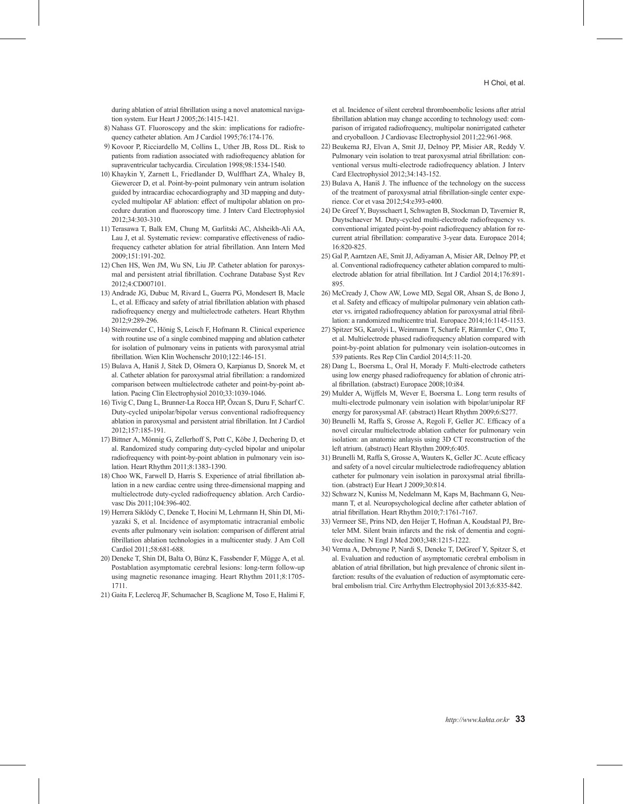during ablation of atrial fibrillation using a novel anatomical navigation system. Eur Heart J 2005;26:1415-1421.

- 8) Nahass GT. Fluoroscopy and the skin: implications for radiofrequency catheter ablation. Am J Cardiol 1995;76:174-176.
- 9) Kovoor P, Ricciardello M, Collins L, Uther JB, Ross DL. Risk to patients from radiation associated with radiofrequency ablation for supraventricular tachycardia. Circulation 1998;98:1534-1540.
- 10) Khaykin Y, Zarnett L, Friedlander D, Wulffhart ZA, Whaley B, Giewercer D, et al. Point-by-point pulmonary vein antrum isolation guided by intracardiac echocardiography and 3D mapping and dutycycled multipolar AF ablation: effect of multipolar ablation on procedure duration and fluoroscopy time. J Interv Card Electrophysiol 2012;34:303-310.
- 11) Terasawa T, Balk EM, Chung M, Garlitski AC, Alsheikh-Ali AA, Lau J, et al. Systematic review: comparative effectiveness of radiofrequency catheter ablation for atrial fibrillation. Ann Intern Med 2009;151:191-202.
- 12) Chen HS, Wen JM, Wu SN, Liu JP. Catheter ablation for paroxysmal and persistent atrial fibrillation. Cochrane Database Syst Rev 2012;4:CD007101.
- 13) Andrade JG, Dubuc M, Rivard L, Guerra PG, Mondesert B, Macle L, et al. Efficacy and safety of atrial fibrillation ablation with phased radiofrequency energy and multielectrode catheters. Heart Rhythm 2012;9:289-296.
- 14) Steinwender C, Hönig S, Leisch F, Hofmann R. Clinical experience with routine use of a single combined mapping and ablation catheter for isolation of pulmonary veins in patients with paroxysmal atrial fibrillation. Wien Klin Wochenschr 2010;122:146-151.
- 15) Bulava A, Haniš J, Sitek D, Ošmera O, Karpianus D, Snorek M, et al. Catheter ablation for paroxysmal atrial fibrillation: a randomized comparison between multielectrode catheter and point-by-point ablation. Pacing Clin Electrophysiol 2010;33:1039-1046.
- 16) Tivig C, Dang L, Brunner-La Rocca HP, Özcan S, Duru F, Scharf C. Duty-cycled unipolar/bipolar versus conventional radiofrequency ablation in paroxysmal and persistent atrial fibrillation. Int J Cardiol 2012;157:185-191.
- 17) Bittner A, Mönnig G, Zellerhoff S, Pott C, Köbe J, Dechering D, et al. Randomized study comparing duty-cycled bipolar and unipolar radiofrequency with point-by-point ablation in pulmonary vein isolation. Heart Rhythm 2011;8:1383-1390.
- 18) Choo WK, Farwell D, Harris S. Experience of atrial fibrillation ablation in a new cardiac centre using three-dimensional mapping and multielectrode duty-cycled radiofrequency ablation. Arch Cardiovasc Dis 2011;104:396-402.
- 19) Herrera Siklódy C, Deneke T, Hocini M, Lehrmann H, Shin DI, Miyazaki S, et al. Incidence of asymptomatic intracranial embolic events after pulmonary vein isolation: comparison of different atrial fibrillation ablation technologies in a multicenter study. J Am Coll Cardiol 2011;58:681-688.
- 20) Deneke T, Shin DI, Balta O, Bünz K, Fassbender F, Mügge A, et al. Postablation asymptomatic cerebral lesions: long-term follow-up using magnetic resonance imaging. Heart Rhythm 2011;8:1705- 1711.
- 21) Gaita F, Leclercq JF, Schumacher B, Scaglione M, Toso E, Halimi F,

et al. Incidence of silent cerebral thromboembolic lesions after atrial fibrillation ablation may change according to technology used: comparison of irrigated radiofrequency, multipolar nonirrigated catheter and cryoballoon. J Cardiovasc Electrophysiol 2011;22:961-968.

- 22) Beukema RJ, Elvan A, Smit JJ, Delnoy PP, Misier AR, Reddy V. Pulmonary vein isolation to treat paroxysmal atrial fibrillation: conventional versus multi-electrode radiofrequency ablation. J Interv Card Electrophysiol 2012;34:143-152.
- 23) Bulava A, Haniš J. The influence of the technology on the success of the treatment of paroxysmal atrial fibrillation-single center experience. Cor et vasa 2012;54:e393-e400.
- 24) De Greef Y, Buysschaert I, Schwagten B, Stockman D, Tavernier R, Duytschaever M. Duty-cycled multi-electrode radiofrequency vs. conventional irrigated point-by-point radiofrequency ablation for recurrent atrial fibrillation: comparative 3-year data. Europace 2014; 16:820-825.
- 25) Gal P, Aarntzen AE, Smit JJ, Adiyaman A, Misier AR, Delnoy PP, et al. Conventional radiofrequency catheter ablation compared to multielectrode ablation for atrial fibrillation. Int J Cardiol 2014;176:891- 895.
- 26) McCready J, Chow AW, Lowe MD, Segal OR, Ahsan S, de Bono J, et al. Safety and efficacy of multipolar pulmonary vein ablation catheter vs. irrigated radiofrequency ablation for paroxysmal atrial fibrillation: a randomized multicentre trial. Europace 2014;16:1145-1153.
- 27) Spitzer SG, Karolyi L, Weinmann T, Scharfe F, Rämmler C, Otto T, et al. Multielectrode phased radiofrequency ablation compared with point-by-point ablation for pulmonary vein isolation-outcomes in 539 patients. Res Rep Clin Cardiol 2014;5:11-20.
- 28) Dang L, Boersma L, Oral H, Morady F. Multi-electrode catheters using low energy phased radiofrequency for ablation of chronic atrial fibrillation. (abstract) Europace 2008;10:i84.
- 29) Mulder A, Wijffels M, Wever E, Boersma L. Long term results of multi-electrode pulmonary vein isolation with bipolar/unipolar RF energy for paroxysmal AF. (abstract) Heart Rhythm 2009;6:S277.
- 30) Brunelli M, Raffa S, Grosse A, Regoli F, Geller JC. Efficacy of a novel circular multielectrode ablation catheter for pulmonary vein isolation: an anatomic anlaysis using 3D CT reconstruction of the left atrium. (abstract) Heart Rhythm 2009;6:405.
- 31) Brunelli M, Raffa S, Grosse A, Wauters K, Geller JC. Acute efficacy and safety of a novel circular multielectrode radiofrequency ablation catheter for pulmonary vein isolation in paroxysmal atrial fibrillation. (abstract) Eur Heart J 2009;30:814.
- 32) Schwarz N, Kuniss M, Nedelmann M, Kaps M, Bachmann G, Neumann T, et al. Neuropsychological decline after catheter ablation of atrial fibrillation. Heart Rhythm 2010;7:1761-7167.
- 33) Vermeer SE, Prins ND, den Heijer T, Hofman A, Koudstaal PJ, Breteler MM. Silent brain infarcts and the risk of dementia and cognitive decline. N Engl J Med 2003;348:1215-1222.
- 34) Verma A, Debruyne P, Nardi S, Deneke T, DeGreef Y, Spitzer S, et al. Evaluation and reduction of asymptomatic cerebral embolism in ablation of atrial fibrillation, but high prevalence of chronic silent infarction: results of the evaluation of reduction of asymptomatic cerebral embolism trial. Circ Arrhythm Electrophysiol 2013;6:835-842.